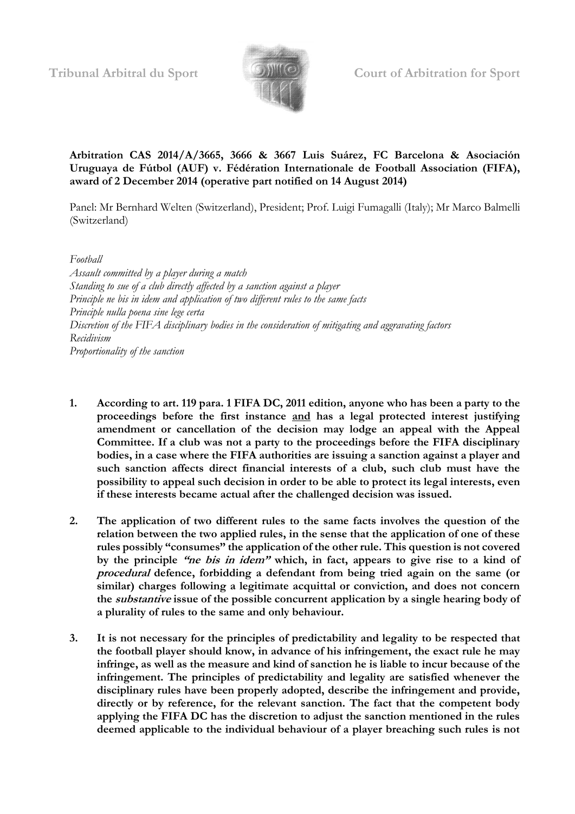

### **Arbitration CAS 2014/A/3665, 3666 & 3667 Luis Suárez, FC Barcelona & Asociación Uruguaya de Fútbol (AUF) v. Fédération Internationale de Football Association (FIFA), award of 2 December 2014 (operative part notified on 14 August 2014)**

Panel: Mr Bernhard Welten (Switzerland), President; Prof. Luigi Fumagalli (Italy); Mr Marco Balmelli (Switzerland)

*Football*

*Assault committed by a player during a match Standing to sue of a club directly affected by a sanction against a player Principle ne bis in idem and application of two different rules to the same facts Principle nulla poena sine lege certa Discretion of the FIFA disciplinary bodies in the consideration of mitigating and aggravating factors Recidivism Proportionality of the sanction*

- **1. According to art. 119 para. 1 FIFA DC, 2011 edition, anyone who has been a party to the proceedings before the first instance and has a legal protected interest justifying amendment or cancellation of the decision may lodge an appeal with the Appeal Committee. If a club was not a party to the proceedings before the FIFA disciplinary bodies, in a case where the FIFA authorities are issuing a sanction against a player and such sanction affects direct financial interests of a club, such club must have the possibility to appeal such decision in order to be able to protect its legal interests, even if these interests became actual after the challenged decision was issued.**
- **2. The application of two different rules to the same facts involves the question of the relation between the two applied rules, in the sense that the application of one of these rules possibly "consumes" the application of the other rule. This question is not covered by the principle "ne bis in idem" which, in fact, appears to give rise to a kind of procedural defence, forbidding a defendant from being tried again on the same (or similar) charges following a legitimate acquittal or conviction, and does not concern the substantive issue of the possible concurrent application by a single hearing body of a plurality of rules to the same and only behaviour.**
- **3. It is not necessary for the principles of predictability and legality to be respected that the football player should know, in advance of his infringement, the exact rule he may infringe, as well as the measure and kind of sanction he is liable to incur because of the infringement. The principles of predictability and legality are satisfied whenever the disciplinary rules have been properly adopted, describe the infringement and provide, directly or by reference, for the relevant sanction. The fact that the competent body applying the FIFA DC has the discretion to adjust the sanction mentioned in the rules deemed applicable to the individual behaviour of a player breaching such rules is not**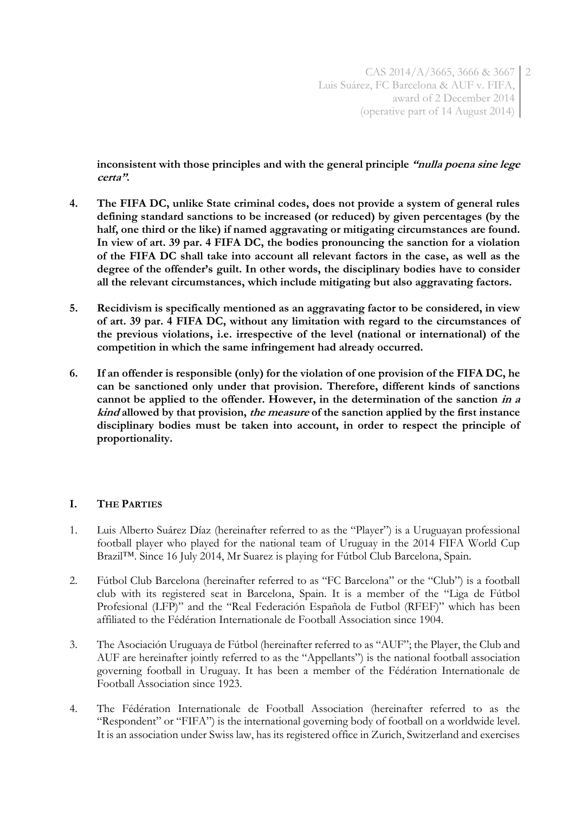**inconsistent with those principles and with the general principle "nulla poena sine lege certa".**

- **4. The FIFA DC, unlike State criminal codes, does not provide a system of general rules defining standard sanctions to be increased (or reduced) by given percentages (by the half, one third or the like) if named aggravating or mitigating circumstances are found. In view of art. 39 par. 4 FIFA DC, the bodies pronouncing the sanction for a violation of the FIFA DC shall take into account all relevant factors in the case, as well as the degree of the offender's guilt. In other words, the disciplinary bodies have to consider all the relevant circumstances, which include mitigating but also aggravating factors.**
- **5. Recidivism is specifically mentioned as an aggravating factor to be considered, in view of art. 39 par. 4 FIFA DC, without any limitation with regard to the circumstances of the previous violations, i.e. irrespective of the level (national or international) of the competition in which the same infringement had already occurred.**
- **6. If an offender is responsible (only) for the violation of one provision of the FIFA DC, he can be sanctioned only under that provision. Therefore, different kinds of sanctions cannot be applied to the offender. However, in the determination of the sanction in a kind allowed by that provision, the measure of the sanction applied by the first instance disciplinary bodies must be taken into account, in order to respect the principle of proportionality.**

## **I. THE PARTIES**

- 1. Luis Alberto Suárez Díaz (hereinafter referred to as the "Player") is a Uruguayan professional football player who played for the national team of Uruguay in the 2014 FIFA World Cup Brazil™. Since 16 July 2014, Mr Suarez is playing for Fútbol Club Barcelona, Spain.
- 2. Fútbol Club Barcelona (hereinafter referred to as "FC Barcelona" or the "Club") is a football club with its registered seat in Barcelona, Spain. It is a member of the "Liga de Fútbol Profesional (LFP)" and the "Real Federación Española de Futbol (RFEF)" which has been affiliated to the Fédération Internationale de Football Association since 1904.
- 3. The Asociación Uruguaya de Fútbol (hereinafter referred to as "AUF"; the Player, the Club and AUF are hereinafter jointly referred to as the "Appellants") is the national football association governing football in Uruguay. It has been a member of the Fédération Internationale de Football Association since 1923.
- 4. The Fédération Internationale de Football Association (hereinafter referred to as the "Respondent" or "FIFA") is the international governing body of football on a worldwide level. It is an association under Swiss law, has its registered office in Zurich, Switzerland and exercises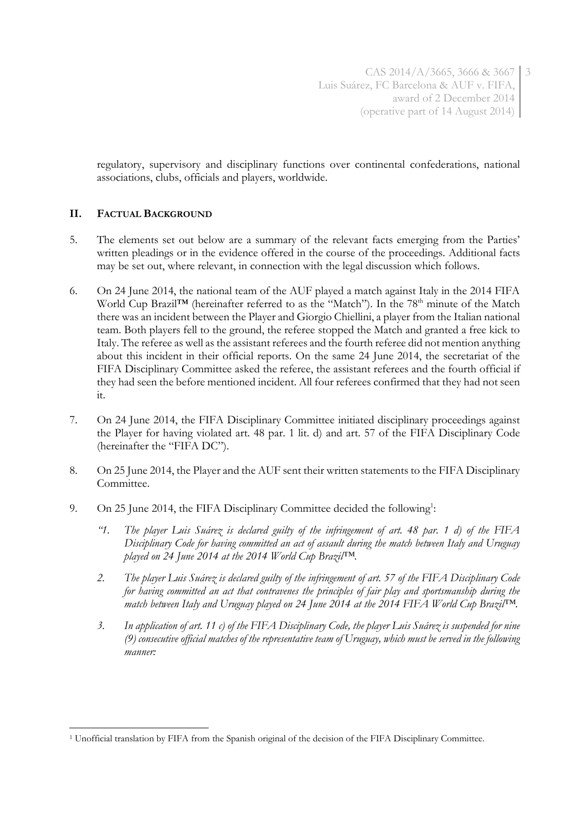regulatory, supervisory and disciplinary functions over continental confederations, national associations, clubs, officials and players, worldwide.

## **II. FACTUAL BACKGROUND**

- 5. The elements set out below are a summary of the relevant facts emerging from the Parties' written pleadings or in the evidence offered in the course of the proceedings. Additional facts may be set out, where relevant, in connection with the legal discussion which follows.
- 6. On 24 June 2014, the national team of the AUF played a match against Italy in the 2014 FIFA World Cup Brazil™ (hereinafter referred to as the "Match"). In the 78<sup>th</sup> minute of the Match there was an incident between the Player and Giorgio Chiellini, a player from the Italian national team. Both players fell to the ground, the referee stopped the Match and granted a free kick to Italy. The referee as well as the assistant referees and the fourth referee did not mention anything about this incident in their official reports. On the same 24 June 2014, the secretariat of the FIFA Disciplinary Committee asked the referee, the assistant referees and the fourth official if they had seen the before mentioned incident. All four referees confirmed that they had not seen it.
- 7. On 24 June 2014, the FIFA Disciplinary Committee initiated disciplinary proceedings against the Player for having violated art. 48 par. 1 lit. d) and art. 57 of the FIFA Disciplinary Code (hereinafter the "FIFA DC").
- 8. On 25 June 2014, the Player and the AUF sent their written statements to the FIFA Disciplinary Committee.
- 9. On 25 June 2014, the FIFA Disciplinary Committee decided the following<sup>1</sup>:
	- *"1. The player Luis Suárez is declared guilty of the infringement of art. 48 par. 1 d) of the FIFA Disciplinary Code for having committed an act of assault during the match between Italy and Uruguay played on 24 June 2014 at the 2014 World Cup Brazil™.*
	- *2. The player Luis Suárez is declared guilty of the infringement of art. 57 of the FIFA Disciplinary Code for having committed an act that contravenes the principles of fair play and sportsmanship during the match between Italy and Uruguay played on 24 June 2014 at the 2014 FIFA World Cup Brazil™.*
	- *3. In application of art. 11 c) of the FIFA Disciplinary Code, the player Luis Suárez is suspended for nine (9) consecutive official matches of the representative team of Uruguay, which must be served in the following manner:*

<sup>1</sup> <sup>1</sup> Unofficial translation by FIFA from the Spanish original of the decision of the FIFA Disciplinary Committee.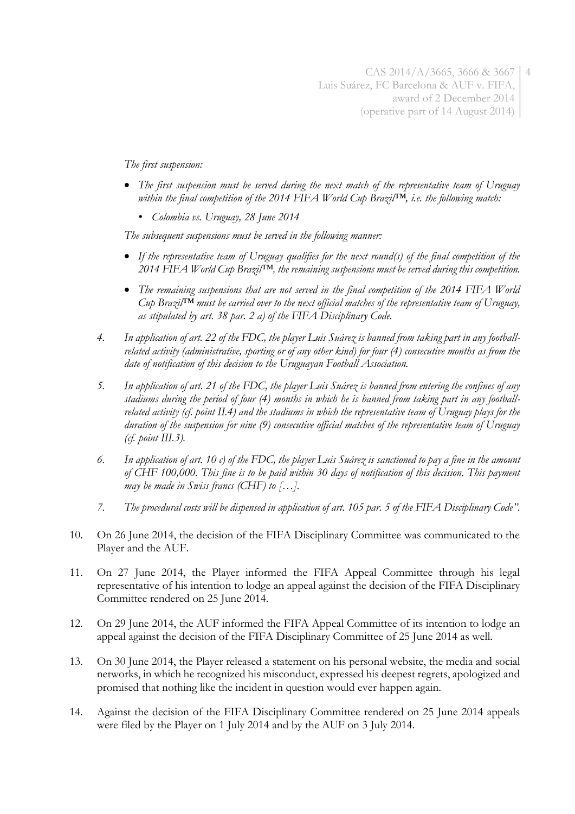*The first suspension:*

- *The first suspension must be served during the next match of the representative team of Uruguay within the final competition of the 2014 FIFA World Cup Brazil™, i.e. the following match:* 
	- *• Colombia vs. Uruguay, 28 June 2014*

*The subsequent suspensions must be served in the following manner:*

- *If the representative team of Uruguay qualifies for the next round(s) of the final competition of the 2014 FIFA World Cup Brazil™, the remaining suspensions must be served during this competition.*
- *The remaining suspensions that are not served in the final competition of the 2014 FIFA World Cup Brazil™ must be carried over to the next official matches of the representative team of Uruguay, as stipulated by art. 38 par. 2 a) of the FIFA Disciplinary Code.*
- *4. In application of art. 22 of the FDC, the player Luis Suárez is banned from taking part in any footballrelated activity (administrative, sporting or of any other kind) for four (4) consecutive months as from the date of notification of this decision to the Uruguayan Football Association.*
- *5. In application of art. 21 of the FDC, the player Luis Suárez is banned from entering the confines of any stadiums during the period of four (4) months in which he is banned from taking part in any footballrelated activity (cf. point II.4) and the stadiums in which the representative team of Uruguay plays for the duration of the suspension for nine (9) consecutive official matches of the representative team of Uruguay (cf. point III.3).*
- *6. In application of art. 10 c) of the FDC, the player Luis Suárez is sanctioned to pay a fine in the amount of CHF 100,000. This fine is to be paid within 30 days of notification of this decision. This payment may be made in Swiss francs (CHF) to […].*
- *7. The procedural costs will be dispensed in application of art. 105 par. 5 of the FIFA Disciplinary Code".*
- 10. On 26 June 2014, the decision of the FIFA Disciplinary Committee was communicated to the Player and the AUF.
- 11. On 27 June 2014, the Player informed the FIFA Appeal Committee through his legal representative of his intention to lodge an appeal against the decision of the FIFA Disciplinary Committee rendered on 25 June 2014.
- 12. On 29 June 2014, the AUF informed the FIFA Appeal Committee of its intention to lodge an appeal against the decision of the FIFA Disciplinary Committee of 25 June 2014 as well.
- 13. On 30 June 2014, the Player released a statement on his personal website, the media and social networks, in which he recognized his misconduct, expressed his deepest regrets, apologized and promised that nothing like the incident in question would ever happen again.
- 14. Against the decision of the FIFA Disciplinary Committee rendered on 25 June 2014 appeals were filed by the Player on 1 July 2014 and by the AUF on 3 July 2014.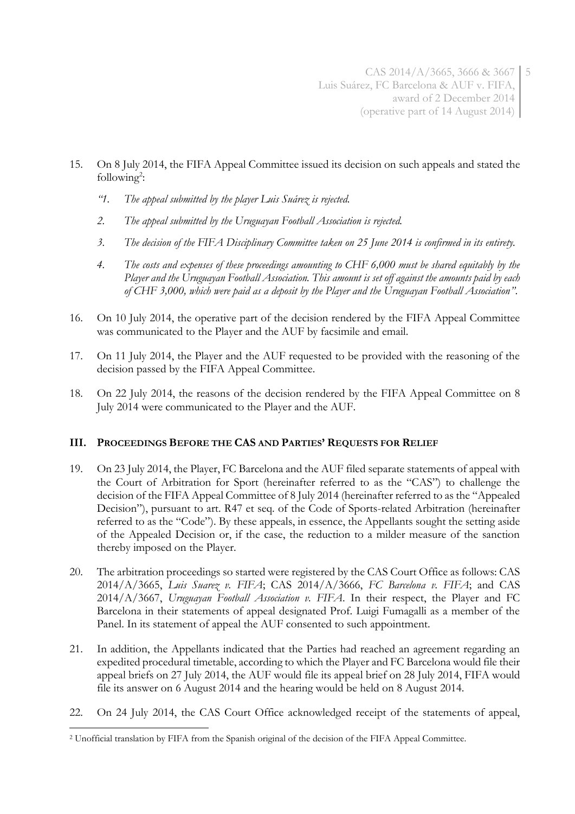- 15. On 8 July 2014, the FIFA Appeal Committee issued its decision on such appeals and stated the  $following<sup>2</sup>$ :
	- *"1. The appeal submitted by the player Luis Suárez is rejected.*
	- *2. The appeal submitted by the Uruguayan Football Association is rejected.*
	- *3. The decision of the FIFA Disciplinary Committee taken on 25 June 2014 is confirmed in its entirety.*
	- *4. The costs and expenses of these proceedings amounting to CHF 6,000 must be shared equitably by the Player and the Uruguayan Football Association. This amount is set off against the amounts paid by each of CHF 3,000, which were paid as a deposit by the Player and the Uruguayan Football Association"*.
- 16. On 10 July 2014, the operative part of the decision rendered by the FIFA Appeal Committee was communicated to the Player and the AUF by facsimile and email.
- 17. On 11 July 2014, the Player and the AUF requested to be provided with the reasoning of the decision passed by the FIFA Appeal Committee.
- 18. On 22 July 2014, the reasons of the decision rendered by the FIFA Appeal Committee on 8 July 2014 were communicated to the Player and the AUF.

## **III. PROCEEDINGS BEFORE THE CAS AND PARTIES' REQUESTS FOR RELIEF**

- 19. On 23 July 2014, the Player, FC Barcelona and the AUF filed separate statements of appeal with the Court of Arbitration for Sport (hereinafter referred to as the "CAS") to challenge the decision of the FIFA Appeal Committee of 8 July 2014 (hereinafter referred to as the "Appealed Decision"), pursuant to art. R47 et seq. of the Code of Sports-related Arbitration (hereinafter referred to as the "Code"). By these appeals, in essence, the Appellants sought the setting aside of the Appealed Decision or, if the case, the reduction to a milder measure of the sanction thereby imposed on the Player.
- 20. The arbitration proceedings so started were registered by the CAS Court Office as follows: CAS 2014/A/3665, *Luis Suarez v. FIFA*; CAS 2014/A/3666, *FC Barcelona v. FIFA*; and CAS 2014/A/3667, *Uruguayan Football Association v. FIFA*. In their respect, the Player and FC Barcelona in their statements of appeal designated Prof. Luigi Fumagalli as a member of the Panel. In its statement of appeal the AUF consented to such appointment.
- 21. In addition, the Appellants indicated that the Parties had reached an agreement regarding an expedited procedural timetable, according to which the Player and FC Barcelona would file their appeal briefs on 27 July 2014, the AUF would file its appeal brief on 28 July 2014, FIFA would file its answer on 6 August 2014 and the hearing would be held on 8 August 2014.
- 22. On 24 July 2014, the CAS Court Office acknowledged receipt of the statements of appeal,

<sup>1</sup> <sup>2</sup> Unofficial translation by FIFA from the Spanish original of the decision of the FIFA Appeal Committee.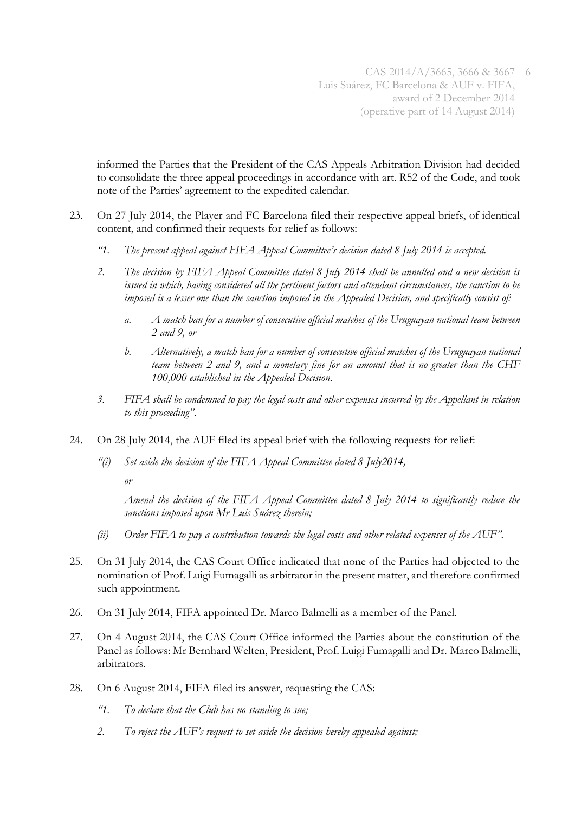informed the Parties that the President of the CAS Appeals Arbitration Division had decided to consolidate the three appeal proceedings in accordance with art. R52 of the Code, and took note of the Parties' agreement to the expedited calendar.

- 23. On 27 July 2014, the Player and FC Barcelona filed their respective appeal briefs, of identical content, and confirmed their requests for relief as follows:
	- *"1. The present appeal against FIFA Appeal Committee's decision dated 8 July 2014 is accepted.*
	- *2. The decision by FIFA Appeal Committee dated 8 July 2014 shall be annulled and a new decision is issued in which, having considered all the pertinent factors and attendant circumstances, the sanction to be imposed is a lesser one than the sanction imposed in the Appealed Decision, and specifically consist of:*
		- *a. A match ban for a number of consecutive official matches of the Uruguayan national team between 2 and 9, or*
		- *b. Alternatively, a match ban for a number of consecutive official matches of the Uruguayan national team between 2 and 9, and a monetary fine for an amount that is no greater than the CHF 100,000 established in the Appealed Decision.*
	- *3. FIFA shall be condemned to pay the legal costs and other expenses incurred by the Appellant in relation to this proceeding"*.
- 24. On 28 July 2014, the AUF filed its appeal brief with the following requests for relief:
	- *"(i) Set aside the decision of the FIFA Appeal Committee dated 8 July2014,*

*or* 

*Amend the decision of the FIFA Appeal Committee dated 8 July 2014 to significantly reduce the sanctions imposed upon Mr Luis Suárez therein;*

- *(ii) Order FIFA to pay a contribution towards the legal costs and other related expenses of the AUF"*.
- 25. On 31 July 2014, the CAS Court Office indicated that none of the Parties had objected to the nomination of Prof. Luigi Fumagalli as arbitrator in the present matter, and therefore confirmed such appointment.
- 26. On 31 July 2014, FIFA appointed Dr. Marco Balmelli as a member of the Panel.
- 27. On 4 August 2014, the CAS Court Office informed the Parties about the constitution of the Panel as follows: Mr Bernhard Welten, President, Prof. Luigi Fumagalli and Dr. Marco Balmelli, arbitrators.
- 28. On 6 August 2014, FIFA filed its answer, requesting the CAS:
	- *"1. To declare that the Club has no standing to sue;*
	- *2. To reject the AUF's request to set aside the decision hereby appealed against;*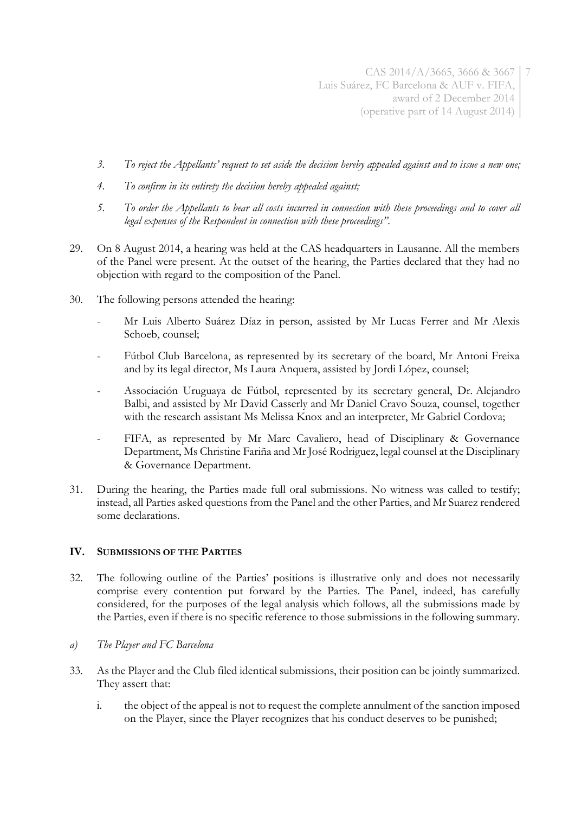- *3. To reject the Appellants' request to set aside the decision hereby appealed against and to issue a new one;*
- *4. To confirm in its entirety the decision hereby appealed against;*
- *5. To order the Appellants to bear all costs incurred in connection with these proceedings and to cover all legal expenses of the Respondent in connection with these proceedings"*.
- 29. On 8 August 2014, a hearing was held at the CAS headquarters in Lausanne. All the members of the Panel were present. At the outset of the hearing, the Parties declared that they had no objection with regard to the composition of the Panel.
- 30. The following persons attended the hearing:
	- Mr Luis Alberto Suárez Díaz in person, assisted by Mr Lucas Ferrer and Mr Alexis Schoeb, counsel;
	- Fútbol Club Barcelona, as represented by its secretary of the board, Mr Antoni Freixa and by its legal director, Ms Laura Anquera, assisted by Jordi López, counsel;
	- Associación Uruguaya de Fútbol, represented by its secretary general, Dr. Alejandro Balbi, and assisted by Mr David Casserly and Mr Daniel Cravo Souza, counsel, together with the research assistant Ms Melissa Knox and an interpreter, Mr Gabriel Cordova;
	- FIFA, as represented by Mr Marc Cavaliero, head of Disciplinary & Governance Department, Ms Christine Fariña and Mr José Rodriguez, legal counsel at the Disciplinary & Governance Department.
- 31. During the hearing, the Parties made full oral submissions. No witness was called to testify; instead, all Parties asked questions from the Panel and the other Parties, and Mr Suarez rendered some declarations.

### **IV. SUBMISSIONS OF THE PARTIES**

- 32. The following outline of the Parties' positions is illustrative only and does not necessarily comprise every contention put forward by the Parties. The Panel, indeed, has carefully considered, for the purposes of the legal analysis which follows, all the submissions made by the Parties, even if there is no specific reference to those submissions in the following summary.
- *a) The Player and FC Barcelona*
- 33. As the Player and the Club filed identical submissions, their position can be jointly summarized. They assert that:
	- i. the object of the appeal is not to request the complete annulment of the sanction imposed on the Player, since the Player recognizes that his conduct deserves to be punished;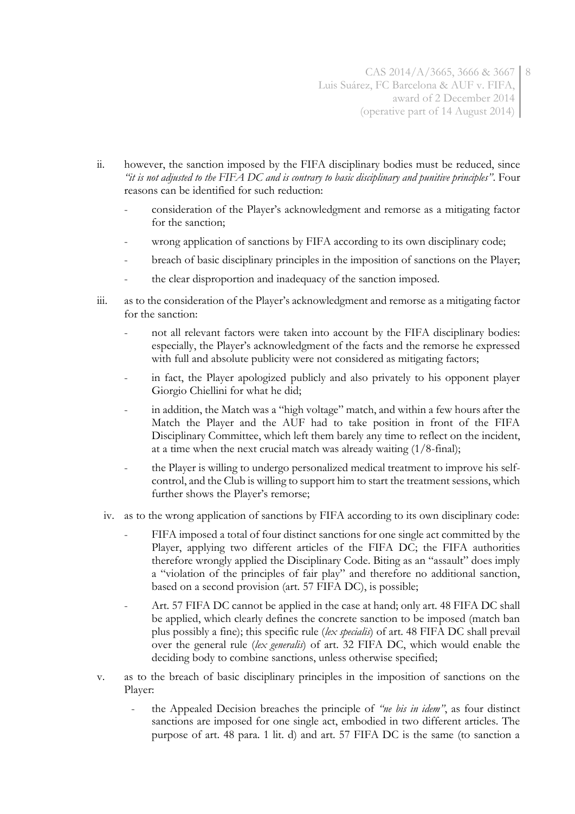- ii. however, the sanction imposed by the FIFA disciplinary bodies must be reduced, since *"it is not adjusted to the FIFA DC and is contrary to basic disciplinary and punitive principles"*. Four reasons can be identified for such reduction:
	- consideration of the Player's acknowledgment and remorse as a mitigating factor for the sanction;
	- wrong application of sanctions by FIFA according to its own disciplinary code;
	- breach of basic disciplinary principles in the imposition of sanctions on the Player;
	- the clear disproportion and inadequacy of the sanction imposed.
- iii. as to the consideration of the Player's acknowledgment and remorse as a mitigating factor for the sanction:
	- not all relevant factors were taken into account by the FIFA disciplinary bodies: especially, the Player's acknowledgment of the facts and the remorse he expressed with full and absolute publicity were not considered as mitigating factors;
	- in fact, the Player apologized publicly and also privately to his opponent player Giorgio Chiellini for what he did;
	- in addition, the Match was a "high voltage" match, and within a few hours after the Match the Player and the AUF had to take position in front of the FIFA Disciplinary Committee, which left them barely any time to reflect on the incident, at a time when the next crucial match was already waiting  $(1/8$ -final);
	- the Player is willing to undergo personalized medical treatment to improve his selfcontrol, and the Club is willing to support him to start the treatment sessions, which further shows the Player's remorse;
- iv. as to the wrong application of sanctions by FIFA according to its own disciplinary code:
	- FIFA imposed a total of four distinct sanctions for one single act committed by the Player, applying two different articles of the FIFA DC; the FIFA authorities therefore wrongly applied the Disciplinary Code. Biting as an "assault" does imply a "violation of the principles of fair play" and therefore no additional sanction, based on a second provision (art. 57 FIFA DC), is possible;
	- Art. 57 FIFA DC cannot be applied in the case at hand; only art. 48 FIFA DC shall be applied, which clearly defines the concrete sanction to be imposed (match ban plus possibly a fine); this specific rule (*lex specialis*) of art. 48 FIFA DC shall prevail over the general rule (*lex generalis*) of art. 32 FIFA DC, which would enable the deciding body to combine sanctions, unless otherwise specified;
- v. as to the breach of basic disciplinary principles in the imposition of sanctions on the Player:
	- the Appealed Decision breaches the principle of *"ne bis in idem"*, as four distinct sanctions are imposed for one single act, embodied in two different articles. The purpose of art. 48 para. 1 lit. d) and art. 57 FIFA DC is the same (to sanction a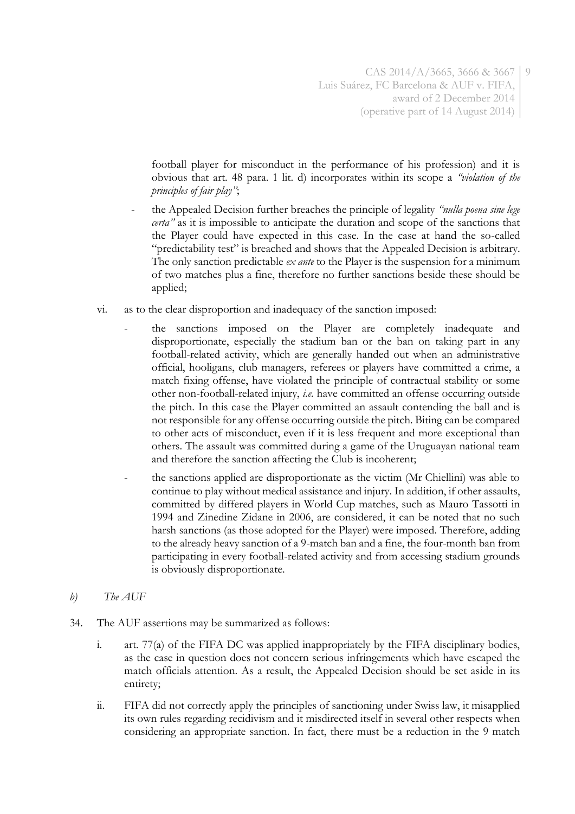football player for misconduct in the performance of his profession) and it is obvious that art. 48 para. 1 lit. d) incorporates within its scope a *"violation of the principles of fair play"*;

- the Appealed Decision further breaches the principle of legality *"nulla poena sine lege certa"* as it is impossible to anticipate the duration and scope of the sanctions that the Player could have expected in this case. In the case at hand the so-called "predictability test" is breached and shows that the Appealed Decision is arbitrary. The only sanction predictable *ex ante* to the Player is the suspension for a minimum of two matches plus a fine, therefore no further sanctions beside these should be applied;
- vi. as to the clear disproportion and inadequacy of the sanction imposed:
	- the sanctions imposed on the Player are completely inadequate and disproportionate, especially the stadium ban or the ban on taking part in any football-related activity, which are generally handed out when an administrative official, hooligans, club managers, referees or players have committed a crime, a match fixing offense, have violated the principle of contractual stability or some other non-football-related injury, *i.e.* have committed an offense occurring outside the pitch. In this case the Player committed an assault contending the ball and is not responsible for any offense occurring outside the pitch. Biting can be compared to other acts of misconduct, even if it is less frequent and more exceptional than others. The assault was committed during a game of the Uruguayan national team and therefore the sanction affecting the Club is incoherent;
	- the sanctions applied are disproportionate as the victim (Mr Chiellini) was able to continue to play without medical assistance and injury. In addition, if other assaults, committed by differed players in World Cup matches, such as Mauro Tassotti in 1994 and Zinedine Zidane in 2006, are considered, it can be noted that no such harsh sanctions (as those adopted for the Player) were imposed. Therefore, adding to the already heavy sanction of a 9-match ban and a fine, the four-month ban from participating in every football-related activity and from accessing stadium grounds is obviously disproportionate.
- *b) The AUF*
- 34. The AUF assertions may be summarized as follows:
	- i. art. 77(a) of the FIFA DC was applied inappropriately by the FIFA disciplinary bodies, as the case in question does not concern serious infringements which have escaped the match officials attention. As a result, the Appealed Decision should be set aside in its entirety;
	- ii. FIFA did not correctly apply the principles of sanctioning under Swiss law, it misapplied its own rules regarding recidivism and it misdirected itself in several other respects when considering an appropriate sanction. In fact, there must be a reduction in the 9 match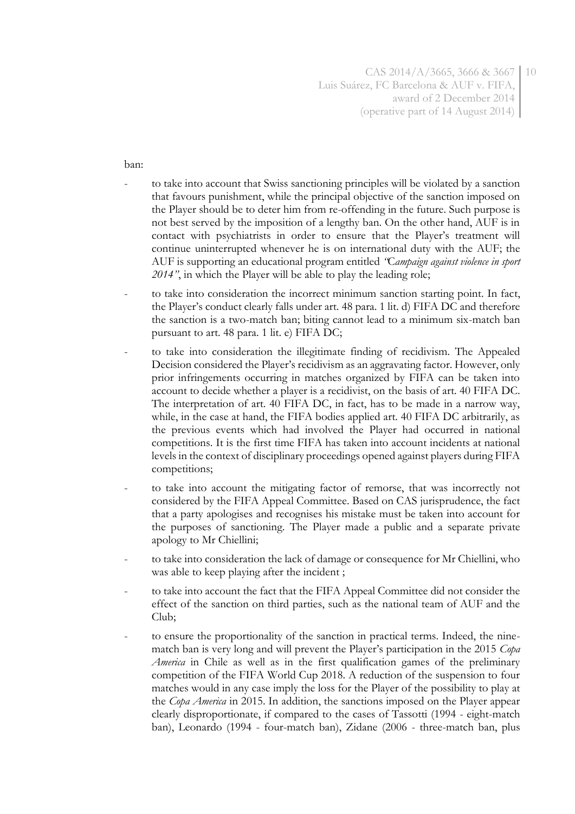CAS 2014/A/3665, 3666 & 3667 Luis Suárez, FC Barcelona & AUF v. FIFA, award of 2 December 2014 (operative part of 14 August 2014) 10

ban:

- to take into account that Swiss sanctioning principles will be violated by a sanction that favours punishment, while the principal objective of the sanction imposed on the Player should be to deter him from re-offending in the future. Such purpose is not best served by the imposition of a lengthy ban. On the other hand, AUF is in contact with psychiatrists in order to ensure that the Player's treatment will continue uninterrupted whenever he is on international duty with the AUF; the AUF is supporting an educational program entitled *"*C*ampaign against violence in sport 2014"*, in which the Player will be able to play the leading role;
- to take into consideration the incorrect minimum sanction starting point. In fact, the Player's conduct clearly falls under art. 48 para. 1 lit. d) FIFA DC and therefore the sanction is a two-match ban; biting cannot lead to a minimum six-match ban pursuant to art. 48 para. 1 lit. e) FIFA DC;
- to take into consideration the illegitimate finding of recidivism. The Appealed Decision considered the Player's recidivism as an aggravating factor. However, only prior infringements occurring in matches organized by FIFA can be taken into account to decide whether a player is a recidivist, on the basis of art. 40 FIFA DC. The interpretation of art. 40 FIFA DC, in fact, has to be made in a narrow way, while, in the case at hand, the FIFA bodies applied art. 40 FIFA DC arbitrarily, as the previous events which had involved the Player had occurred in national competitions. It is the first time FIFA has taken into account incidents at national levels in the context of disciplinary proceedings opened against players during FIFA competitions;
- to take into account the mitigating factor of remorse, that was incorrectly not considered by the FIFA Appeal Committee. Based on CAS jurisprudence, the fact that a party apologises and recognises his mistake must be taken into account for the purposes of sanctioning. The Player made a public and a separate private apology to Mr Chiellini;
- to take into consideration the lack of damage or consequence for Mr Chiellini, who was able to keep playing after the incident ;
- to take into account the fact that the FIFA Appeal Committee did not consider the effect of the sanction on third parties, such as the national team of AUF and the Club;
- to ensure the proportionality of the sanction in practical terms. Indeed, the ninematch ban is very long and will prevent the Player's participation in the 2015 *Copa America* in Chile as well as in the first qualification games of the preliminary competition of the FIFA World Cup 2018. A reduction of the suspension to four matches would in any case imply the loss for the Player of the possibility to play at the *Copa America* in 2015. In addition, the sanctions imposed on the Player appear clearly disproportionate, if compared to the cases of Tassotti (1994 - eight-match ban), Leonardo (1994 - four-match ban), Zidane (2006 - three-match ban, plus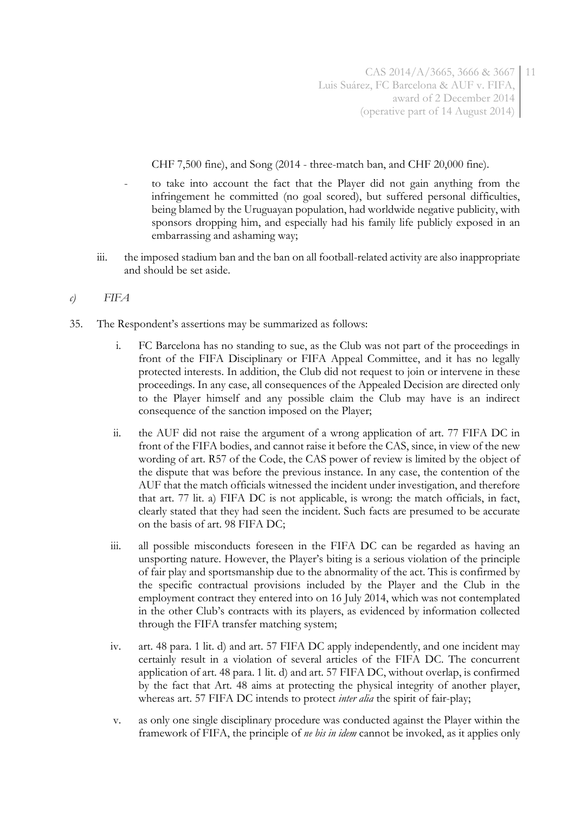CHF 7,500 fine), and Song (2014 - three-match ban, and CHF 20,000 fine).

- to take into account the fact that the Player did not gain anything from the infringement he committed (no goal scored), but suffered personal difficulties, being blamed by the Uruguayan population, had worldwide negative publicity, with sponsors dropping him, and especially had his family life publicly exposed in an embarrassing and ashaming way;
- iii. the imposed stadium ban and the ban on all football-related activity are also inappropriate and should be set aside.
- *c) FIFA*
- 35. The Respondent's assertions may be summarized as follows:
	- i. FC Barcelona has no standing to sue, as the Club was not part of the proceedings in front of the FIFA Disciplinary or FIFA Appeal Committee, and it has no legally protected interests. In addition, the Club did not request to join or intervene in these proceedings. In any case, all consequences of the Appealed Decision are directed only to the Player himself and any possible claim the Club may have is an indirect consequence of the sanction imposed on the Player;
	- ii. the AUF did not raise the argument of a wrong application of art. 77 FIFA DC in front of the FIFA bodies, and cannot raise it before the CAS, since, in view of the new wording of art. R57 of the Code, the CAS power of review is limited by the object of the dispute that was before the previous instance. In any case, the contention of the AUF that the match officials witnessed the incident under investigation, and therefore that art. 77 lit. a) FIFA DC is not applicable, is wrong: the match officials, in fact, clearly stated that they had seen the incident. Such facts are presumed to be accurate on the basis of art. 98 FIFA DC;
	- iii. all possible misconducts foreseen in the FIFA DC can be regarded as having an unsporting nature. However, the Player's biting is a serious violation of the principle of fair play and sportsmanship due to the abnormality of the act. This is confirmed by the specific contractual provisions included by the Player and the Club in the employment contract they entered into on 16 July 2014, which was not contemplated in the other Club's contracts with its players, as evidenced by information collected through the FIFA transfer matching system;
	- iv. art. 48 para. 1 lit. d) and art. 57 FIFA DC apply independently, and one incident may certainly result in a violation of several articles of the FIFA DC. The concurrent application of art. 48 para. 1 lit. d) and art. 57 FIFA DC, without overlap, is confirmed by the fact that Art. 48 aims at protecting the physical integrity of another player, whereas art. 57 FIFA DC intends to protect *inter alia* the spirit of fair-play;
	- v. as only one single disciplinary procedure was conducted against the Player within the framework of FIFA, the principle of *ne bis in idem* cannot be invoked, as it applies only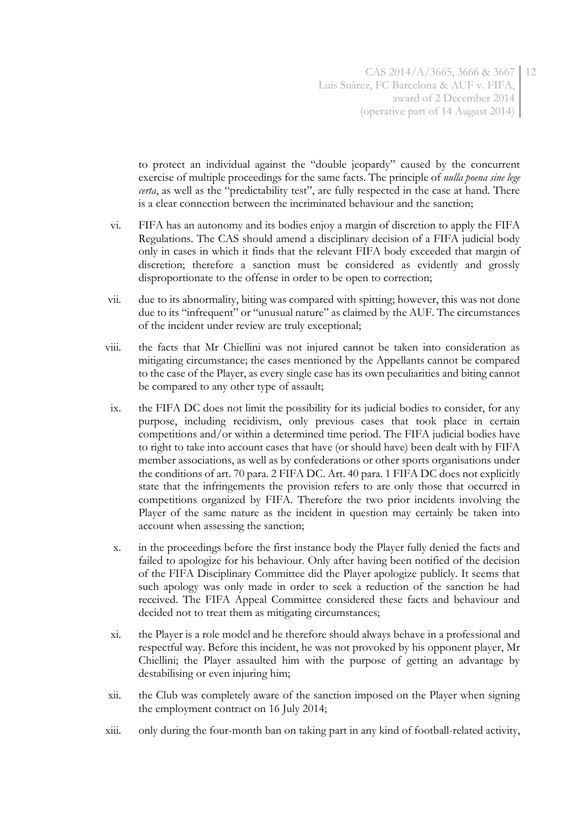to protect an individual against the "double jeopardy" caused by the concurrent exercise of multiple proceedings for the same facts. The principle of *nulla poena sine lege certa*, as well as the "predictability test", are fully respected in the case at hand. There is a clear connection between the incriminated behaviour and the sanction;

- vi. FIFA has an autonomy and its bodies enjoy a margin of discretion to apply the FIFA Regulations. The CAS should amend a disciplinary decision of a FIFA judicial body only in cases in which it finds that the relevant FIFA body exceeded that margin of discretion; therefore a sanction must be considered as evidently and grossly disproportionate to the offense in order to be open to correction;
- vii. due to its abnormality, biting was compared with spitting; however, this was not done due to its "infrequent" or "unusual nature" as claimed by the AUF. The circumstances of the incident under review are truly exceptional;
- viii. the facts that Mr Chiellini was not injured cannot be taken into consideration as mitigating circumstance; the cases mentioned by the Appellants cannot be compared to the case of the Player, as every single case has its own peculiarities and biting cannot be compared to any other type of assault;
- ix. the FIFA DC does not limit the possibility for its judicial bodies to consider, for any purpose, including recidivism, only previous cases that took place in certain competitions and/or within a determined time period. The FIFA judicial bodies have to right to take into account cases that have (or should have) been dealt with by FIFA member associations, as well as by confederations or other sports organisations under the conditions of art. 70 para. 2 FIFA DC. Art. 40 para. 1 FIFA DC does not explicitly state that the infringements the provision refers to are only those that occurred in competitions organized by FIFA. Therefore the two prior incidents involving the Player of the same nature as the incident in question may certainly be taken into account when assessing the sanction;
- x. in the proceedings before the first instance body the Player fully denied the facts and failed to apologize for his behaviour. Only after having been notified of the decision of the FIFA Disciplinary Committee did the Player apologize publicly. It seems that such apology was only made in order to seek a reduction of the sanction he had received. The FIFA Appeal Committee considered these facts and behaviour and decided not to treat them as mitigating circumstances;
- xi. the Player is a role model and he therefore should always behave in a professional and respectful way. Before this incident, he was not provoked by his opponent player, Mr Chiellini; the Player assaulted him with the purpose of getting an advantage by destabilising or even injuring him;
- xii. the Club was completely aware of the sanction imposed on the Player when signing the employment contract on 16 July 2014;
- xiii. only during the four-month ban on taking part in any kind of football-related activity,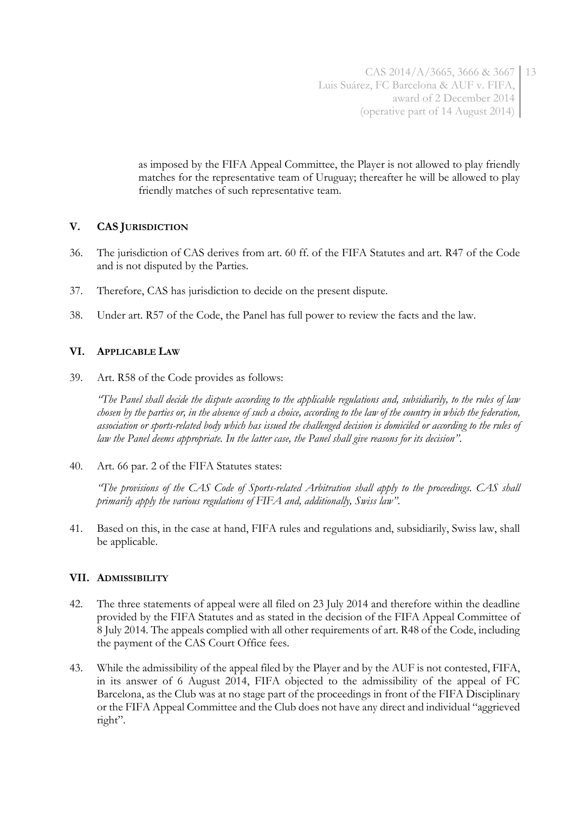as imposed by the FIFA Appeal Committee, the Player is not allowed to play friendly matches for the representative team of Uruguay; thereafter he will be allowed to play friendly matches of such representative team.

## **V. CAS JURISDICTION**

- 36. The jurisdiction of CAS derives from art. 60 ff. of the FIFA Statutes and art. R47 of the Code and is not disputed by the Parties.
- 37. Therefore, CAS has jurisdiction to decide on the present dispute.
- 38. Under art. R57 of the Code, the Panel has full power to review the facts and the law.

## **VI. APPLICABLE LAW**

39. Art. R58 of the Code provides as follows:

*"The Panel shall decide the dispute according to the applicable regulations and, subsidiarily, to the rules of law chosen by the parties or, in the absence of such a choice, according to the law of the country in which the federation, association or sports-related body which has issued the challenged decision is domiciled or according to the rules of law the Panel deems appropriate. In the latter case, the Panel shall give reasons for its decision"*.

40. Art. 66 par. 2 of the FIFA Statutes states:

*"The provisions of the CAS Code of Sports-related Arbitration shall apply to the proceedings. CAS shall primarily apply the various regulations of FIFA and, additionally, Swiss law"*.

41. Based on this, in the case at hand, FIFA rules and regulations and, subsidiarily, Swiss law, shall be applicable.

### **VII. ADMISSIBILITY**

- 42. The three statements of appeal were all filed on 23 July 2014 and therefore within the deadline provided by the FIFA Statutes and as stated in the decision of the FIFA Appeal Committee of 8 July 2014. The appeals complied with all other requirements of art. R48 of the Code, including the payment of the CAS Court Office fees.
- 43. While the admissibility of the appeal filed by the Player and by the AUF is not contested, FIFA, in its answer of 6 August 2014, FIFA objected to the admissibility of the appeal of FC Barcelona, as the Club was at no stage part of the proceedings in front of the FIFA Disciplinary or the FIFA Appeal Committee and the Club does not have any direct and individual "aggrieved right".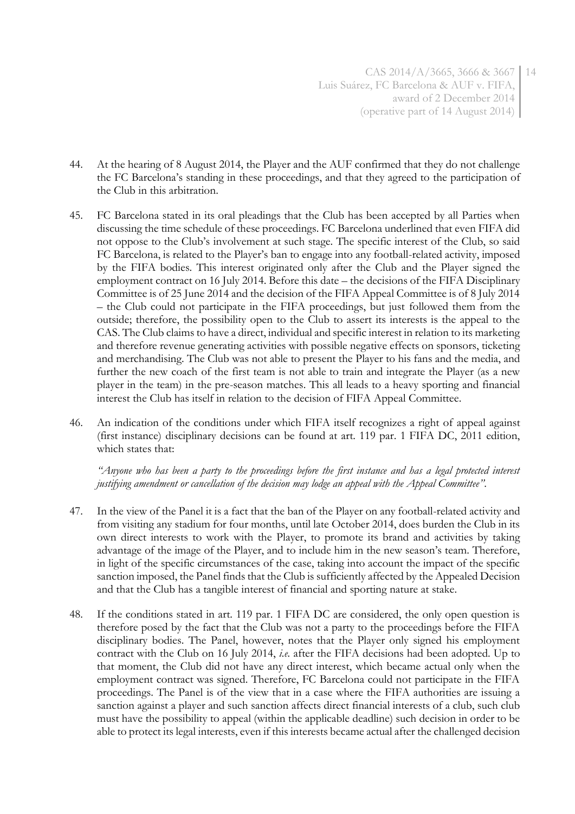CAS 2014/A/3665, 3666 & 3667 14 Luis Suárez, FC Barcelona & AUF v. FIFA, award of 2 December 2014 (operative part of 14 August 2014)

- 44. At the hearing of 8 August 2014, the Player and the AUF confirmed that they do not challenge the FC Barcelona's standing in these proceedings, and that they agreed to the participation of the Club in this arbitration.
- 45. FC Barcelona stated in its oral pleadings that the Club has been accepted by all Parties when discussing the time schedule of these proceedings. FC Barcelona underlined that even FIFA did not oppose to the Club's involvement at such stage. The specific interest of the Club, so said FC Barcelona, is related to the Player's ban to engage into any football-related activity, imposed by the FIFA bodies. This interest originated only after the Club and the Player signed the employment contract on 16 July 2014. Before this date – the decisions of the FIFA Disciplinary Committee is of 25 June 2014 and the decision of the FIFA Appeal Committee is of 8 July 2014 – the Club could not participate in the FIFA proceedings, but just followed them from the outside; therefore, the possibility open to the Club to assert its interests is the appeal to the CAS. The Club claims to have a direct, individual and specific interest in relation to its marketing and therefore revenue generating activities with possible negative effects on sponsors, ticketing and merchandising. The Club was not able to present the Player to his fans and the media, and further the new coach of the first team is not able to train and integrate the Player (as a new player in the team) in the pre-season matches. This all leads to a heavy sporting and financial interest the Club has itself in relation to the decision of FIFA Appeal Committee.
- 46. An indication of the conditions under which FIFA itself recognizes a right of appeal against (first instance) disciplinary decisions can be found at art. 119 par. 1 FIFA DC, 2011 edition, which states that:

*"Anyone who has been a party to the proceedings before the first instance and has a legal protected interest justifying amendment or cancellation of the decision may lodge an appeal with the Appeal Committee"*.

- 47. In the view of the Panel it is a fact that the ban of the Player on any football-related activity and from visiting any stadium for four months, until late October 2014, does burden the Club in its own direct interests to work with the Player, to promote its brand and activities by taking advantage of the image of the Player, and to include him in the new season's team. Therefore, in light of the specific circumstances of the case, taking into account the impact of the specific sanction imposed, the Panel finds that the Club is sufficiently affected by the Appealed Decision and that the Club has a tangible interest of financial and sporting nature at stake.
- 48. If the conditions stated in art. 119 par. 1 FIFA DC are considered, the only open question is therefore posed by the fact that the Club was not a party to the proceedings before the FIFA disciplinary bodies. The Panel, however, notes that the Player only signed his employment contract with the Club on 16 July 2014, *i.e.* after the FIFA decisions had been adopted. Up to that moment, the Club did not have any direct interest, which became actual only when the employment contract was signed. Therefore, FC Barcelona could not participate in the FIFA proceedings. The Panel is of the view that in a case where the FIFA authorities are issuing a sanction against a player and such sanction affects direct financial interests of a club, such club must have the possibility to appeal (within the applicable deadline) such decision in order to be able to protect its legal interests, even if this interests became actual after the challenged decision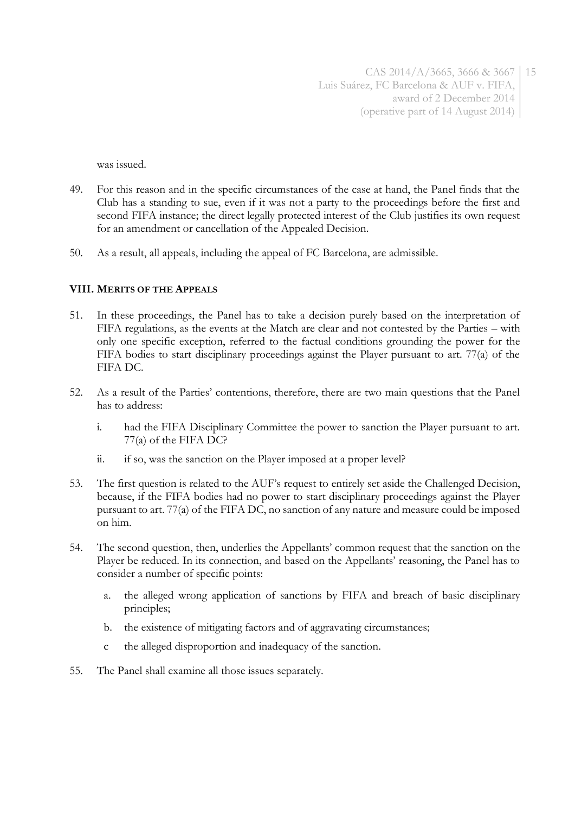was issued.

- 49. For this reason and in the specific circumstances of the case at hand, the Panel finds that the Club has a standing to sue, even if it was not a party to the proceedings before the first and second FIFA instance; the direct legally protected interest of the Club justifies its own request for an amendment or cancellation of the Appealed Decision.
- 50. As a result, all appeals, including the appeal of FC Barcelona, are admissible.

### **VIII. MERITS OF THE APPEALS**

- 51. In these proceedings, the Panel has to take a decision purely based on the interpretation of FIFA regulations, as the events at the Match are clear and not contested by the Parties – with only one specific exception, referred to the factual conditions grounding the power for the FIFA bodies to start disciplinary proceedings against the Player pursuant to art. 77(a) of the FIFA DC.
- 52. As a result of the Parties' contentions, therefore, there are two main questions that the Panel has to address:
	- i. had the FIFA Disciplinary Committee the power to sanction the Player pursuant to art. 77(a) of the FIFA DC?
	- ii. if so, was the sanction on the Player imposed at a proper level?
- 53. The first question is related to the AUF's request to entirely set aside the Challenged Decision, because, if the FIFA bodies had no power to start disciplinary proceedings against the Player pursuant to art. 77(a) of the FIFA DC, no sanction of any nature and measure could be imposed on him.
- 54. The second question, then, underlies the Appellants' common request that the sanction on the Player be reduced. In its connection, and based on the Appellants' reasoning, the Panel has to consider a number of specific points:
	- a. the alleged wrong application of sanctions by FIFA and breach of basic disciplinary principles;
	- b. the existence of mitigating factors and of aggravating circumstances;
	- c the alleged disproportion and inadequacy of the sanction.
- 55. The Panel shall examine all those issues separately.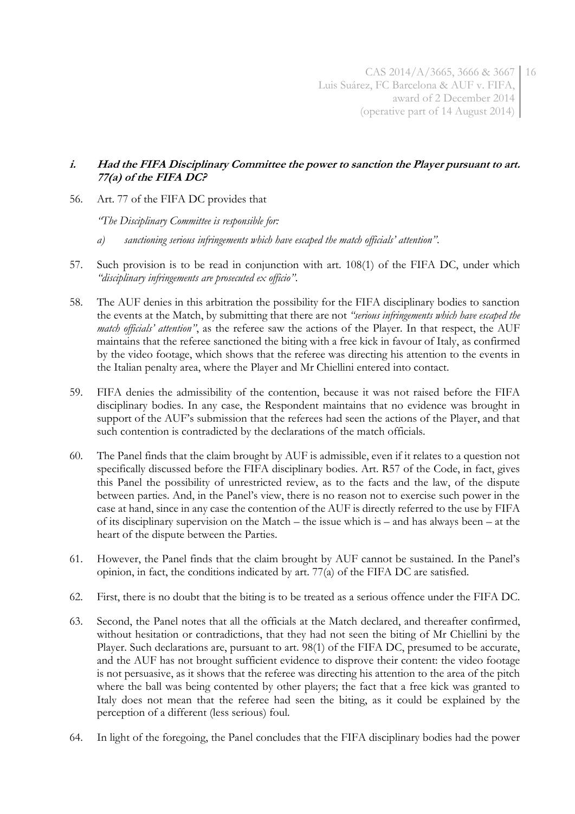## **i. Had the FIFA Disciplinary Committee the power to sanction the Player pursuant to art. 77(a) of the FIFA DC?**

56. Art. 77 of the FIFA DC provides that

*"The Disciplinary Committee is responsible for:*

- *a) sanctioning serious infringements which have escaped the match officials' attention"*.
- 57. Such provision is to be read in conjunction with art. 108(1) of the FIFA DC, under which *"disciplinary infringements are prosecuted ex officio"*.
- 58. The AUF denies in this arbitration the possibility for the FIFA disciplinary bodies to sanction the events at the Match, by submitting that there are not *"serious infringements which have escaped the match officials' attention"*, as the referee saw the actions of the Player. In that respect, the AUF maintains that the referee sanctioned the biting with a free kick in favour of Italy, as confirmed by the video footage, which shows that the referee was directing his attention to the events in the Italian penalty area, where the Player and Mr Chiellini entered into contact.
- 59. FIFA denies the admissibility of the contention, because it was not raised before the FIFA disciplinary bodies. In any case, the Respondent maintains that no evidence was brought in support of the AUF's submission that the referees had seen the actions of the Player, and that such contention is contradicted by the declarations of the match officials.
- 60. The Panel finds that the claim brought by AUF is admissible, even if it relates to a question not specifically discussed before the FIFA disciplinary bodies. Art. R57 of the Code, in fact, gives this Panel the possibility of unrestricted review, as to the facts and the law, of the dispute between parties. And, in the Panel's view, there is no reason not to exercise such power in the case at hand, since in any case the contention of the AUF is directly referred to the use by FIFA of its disciplinary supervision on the Match – the issue which is – and has always been – at the heart of the dispute between the Parties.
- 61. However, the Panel finds that the claim brought by AUF cannot be sustained. In the Panel's opinion, in fact, the conditions indicated by art. 77(a) of the FIFA DC are satisfied.
- 62. First, there is no doubt that the biting is to be treated as a serious offence under the FIFA DC.
- 63. Second, the Panel notes that all the officials at the Match declared, and thereafter confirmed, without hesitation or contradictions, that they had not seen the biting of Mr Chiellini by the Player. Such declarations are, pursuant to art. 98(1) of the FIFA DC, presumed to be accurate, and the AUF has not brought sufficient evidence to disprove their content: the video footage is not persuasive, as it shows that the referee was directing his attention to the area of the pitch where the ball was being contented by other players; the fact that a free kick was granted to Italy does not mean that the referee had seen the biting, as it could be explained by the perception of a different (less serious) foul.
- 64. In light of the foregoing, the Panel concludes that the FIFA disciplinary bodies had the power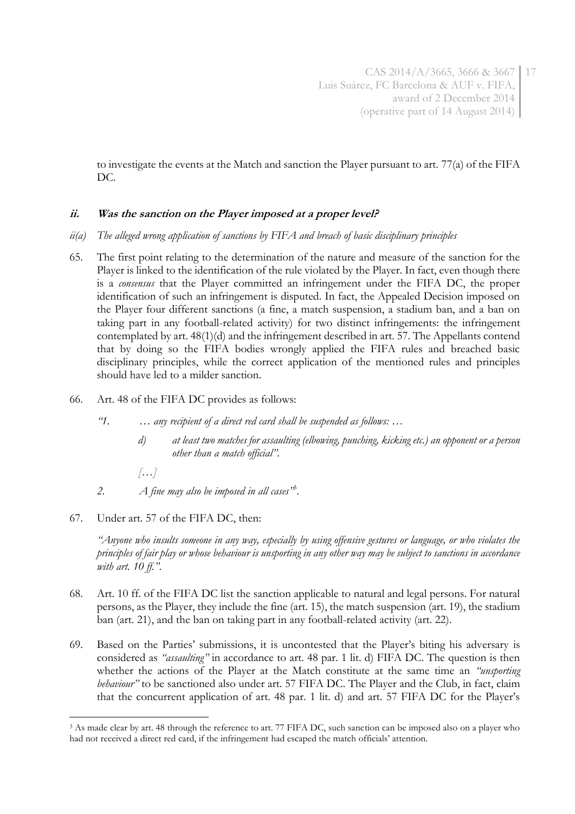to investigate the events at the Match and sanction the Player pursuant to art. 77(a) of the FIFA DC.

## **ii. Was the sanction on the Player imposed at a proper level?**

- *ii(a) The alleged wrong application of sanctions by FIFA and breach of basic disciplinary principles*
- 65. The first point relating to the determination of the nature and measure of the sanction for the Player is linked to the identification of the rule violated by the Player. In fact, even though there is a *consensus* that the Player committed an infringement under the FIFA DC, the proper identification of such an infringement is disputed. In fact, the Appealed Decision imposed on the Player four different sanctions (a fine, a match suspension, a stadium ban, and a ban on taking part in any football-related activity) for two distinct infringements: the infringement contemplated by art. 48(1)(d) and the infringement described in art. 57. The Appellants contend that by doing so the FIFA bodies wrongly applied the FIFA rules and breached basic disciplinary principles, while the correct application of the mentioned rules and principles should have led to a milder sanction.
- 66. Art. 48 of the FIFA DC provides as follows:
	- *"1. … any recipient of a direct red card shall be suspended as follows: …*
		- *d) at least two matches for assaulting (elbowing, punching, kicking etc.) an opponent or a person other than a match official"*.
		- *[…]*
	- *2. A fine may also be imposed in all cases"* 3 .
- 67. Under art. 57 of the FIFA DC, then:

*"Anyone who insults someone in any way, especially by using offensive gestures or language, or who violates the principles of fair play or whose behaviour is unsporting in any other way may be subject to sanctions in accordance with art. 10 ff."*.

- 68. Art. 10 ff. of the FIFA DC list the sanction applicable to natural and legal persons. For natural persons, as the Player, they include the fine (art. 15), the match suspension (art. 19), the stadium ban (art. 21), and the ban on taking part in any football-related activity (art. 22).
- 69. Based on the Parties' submissions, it is uncontested that the Player's biting his adversary is considered as *"assaulting"* in accordance to art. 48 par. 1 lit. d) FIFA DC. The question is then whether the actions of the Player at the Match constitute at the same time an *"unsporting behaviour"* to be sanctioned also under art. 57 FIFA DC. The Player and the Club, in fact, claim that the concurrent application of art. 48 par. 1 lit. d) and art. 57 FIFA DC for the Player's

<sup>&</sup>lt;u>.</u> <sup>3</sup> As made clear by art. 48 through the reference to art. 77 FIFA DC, such sanction can be imposed also on a player who had not received a direct red card, if the infringement had escaped the match officials' attention.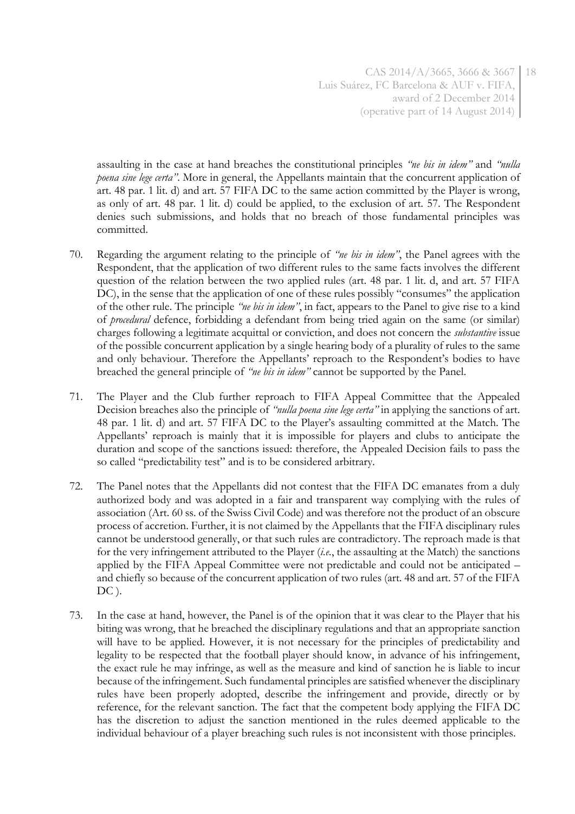CAS 2014/A/3665, 3666 & 3667 18 Luis Suárez, FC Barcelona & AUF v. FIFA, award of 2 December 2014 (operative part of 14 August 2014)

assaulting in the case at hand breaches the constitutional principles *"ne bis in idem"* and *"nulla poena sine lege certa"*. More in general, the Appellants maintain that the concurrent application of art. 48 par. 1 lit. d) and art. 57 FIFA DC to the same action committed by the Player is wrong, as only of art. 48 par. 1 lit. d) could be applied, to the exclusion of art. 57. The Respondent denies such submissions, and holds that no breach of those fundamental principles was committed.

- 70. Regarding the argument relating to the principle of *"ne bis in idem"*, the Panel agrees with the Respondent, that the application of two different rules to the same facts involves the different question of the relation between the two applied rules (art. 48 par. 1 lit. d, and art. 57 FIFA DC), in the sense that the application of one of these rules possibly "consumes" the application of the other rule. The principle *"ne bis in idem"*, in fact, appears to the Panel to give rise to a kind of *procedural* defence, forbidding a defendant from being tried again on the same (or similar) charges following a legitimate acquittal or conviction, and does not concern the *substantive* issue of the possible concurrent application by a single hearing body of a plurality of rules to the same and only behaviour. Therefore the Appellants' reproach to the Respondent's bodies to have breached the general principle of *"ne bis in idem"* cannot be supported by the Panel.
- 71. The Player and the Club further reproach to FIFA Appeal Committee that the Appealed Decision breaches also the principle of *"nulla poena sine lege certa"* in applying the sanctions of art. 48 par. 1 lit. d) and art. 57 FIFA DC to the Player's assaulting committed at the Match. The Appellants' reproach is mainly that it is impossible for players and clubs to anticipate the duration and scope of the sanctions issued: therefore, the Appealed Decision fails to pass the so called "predictability test" and is to be considered arbitrary.
- 72. The Panel notes that the Appellants did not contest that the FIFA DC emanates from a duly authorized body and was adopted in a fair and transparent way complying with the rules of association (Art. 60 ss. of the Swiss Civil Code) and was therefore not the product of an obscure process of accretion. Further, it is not claimed by the Appellants that the FIFA disciplinary rules cannot be understood generally, or that such rules are contradictory. The reproach made is that for the very infringement attributed to the Player (*i.e.*, the assaulting at the Match) the sanctions applied by the FIFA Appeal Committee were not predictable and could not be anticipated – and chiefly so because of the concurrent application of two rules (art. 48 and art. 57 of the FIFA DC).
- 73. In the case at hand, however, the Panel is of the opinion that it was clear to the Player that his biting was wrong, that he breached the disciplinary regulations and that an appropriate sanction will have to be applied. However, it is not necessary for the principles of predictability and legality to be respected that the football player should know, in advance of his infringement, the exact rule he may infringe, as well as the measure and kind of sanction he is liable to incur because of the infringement. Such fundamental principles are satisfied whenever the disciplinary rules have been properly adopted, describe the infringement and provide, directly or by reference, for the relevant sanction. The fact that the competent body applying the FIFA DC has the discretion to adjust the sanction mentioned in the rules deemed applicable to the individual behaviour of a player breaching such rules is not inconsistent with those principles.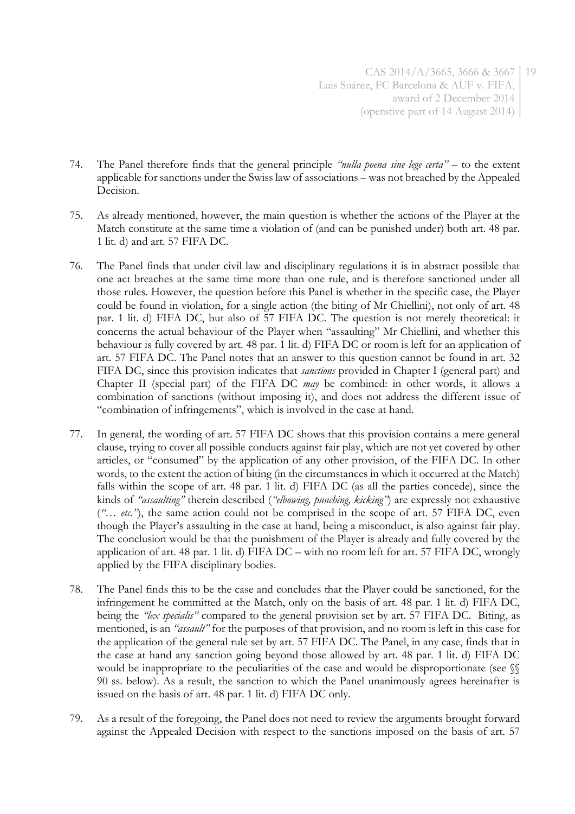- 74. The Panel therefore finds that the general principle *"nulla poena sine lege certa"* to the extent applicable for sanctions under the Swiss law of associations – was not breached by the Appealed Decision.
- 75. As already mentioned, however, the main question is whether the actions of the Player at the Match constitute at the same time a violation of (and can be punished under) both art. 48 par. 1 lit. d) and art. 57 FIFA DC.
- 76. The Panel finds that under civil law and disciplinary regulations it is in abstract possible that one act breaches at the same time more than one rule, and is therefore sanctioned under all those rules. However, the question before this Panel is whether in the specific case, the Player could be found in violation, for a single action (the biting of Mr Chiellini), not only of art. 48 par. 1 lit. d) FIFA DC, but also of 57 FIFA DC. The question is not merely theoretical: it concerns the actual behaviour of the Player when "assaulting" Mr Chiellini, and whether this behaviour is fully covered by art. 48 par. 1 lit. d) FIFA DC or room is left for an application of art. 57 FIFA DC. The Panel notes that an answer to this question cannot be found in art. 32 FIFA DC, since this provision indicates that *sanctions* provided in Chapter I (general part) and Chapter II (special part) of the FIFA DC *may* be combined: in other words, it allows a combination of sanctions (without imposing it), and does not address the different issue of "combination of infringements", which is involved in the case at hand.
- 77. In general, the wording of art. 57 FIFA DC shows that this provision contains a mere general clause, trying to cover all possible conducts against fair play, which are not yet covered by other articles, or "consumed" by the application of any other provision, of the FIFA DC. In other words, to the extent the action of biting (in the circumstances in which it occurred at the Match) falls within the scope of art. 48 par. 1 lit. d) FIFA DC (as all the parties concede), since the kinds of *"assaulting"* therein described (*"elbowing, punching, kicking"*) are expressly not exhaustive (*"… etc."*), the same action could not be comprised in the scope of art. 57 FIFA DC, even though the Player's assaulting in the case at hand, being a misconduct, is also against fair play. The conclusion would be that the punishment of the Player is already and fully covered by the application of art. 48 par. 1 lit. d) FIFA DC – with no room left for art. 57 FIFA DC, wrongly applied by the FIFA disciplinary bodies.
- 78. The Panel finds this to be the case and concludes that the Player could be sanctioned, for the infringement he committed at the Match, only on the basis of art. 48 par. 1 lit. d) FIFA DC, being the *"lex specialis"* compared to the general provision set by art. 57 FIFA DC. Biting, as mentioned, is an *"assault"* for the purposes of that provision, and no room is left in this case for the application of the general rule set by art. 57 FIFA DC. The Panel, in any case, finds that in the case at hand any sanction going beyond those allowed by art. 48 par. 1 lit. d) FIFA DC would be inappropriate to the peculiarities of the case and would be disproportionate (see  $\mathcal{S}$ 90 ss. below). As a result, the sanction to which the Panel unanimously agrees hereinafter is issued on the basis of art. 48 par. 1 lit. d) FIFA DC only.
- 79. As a result of the foregoing, the Panel does not need to review the arguments brought forward against the Appealed Decision with respect to the sanctions imposed on the basis of art. 57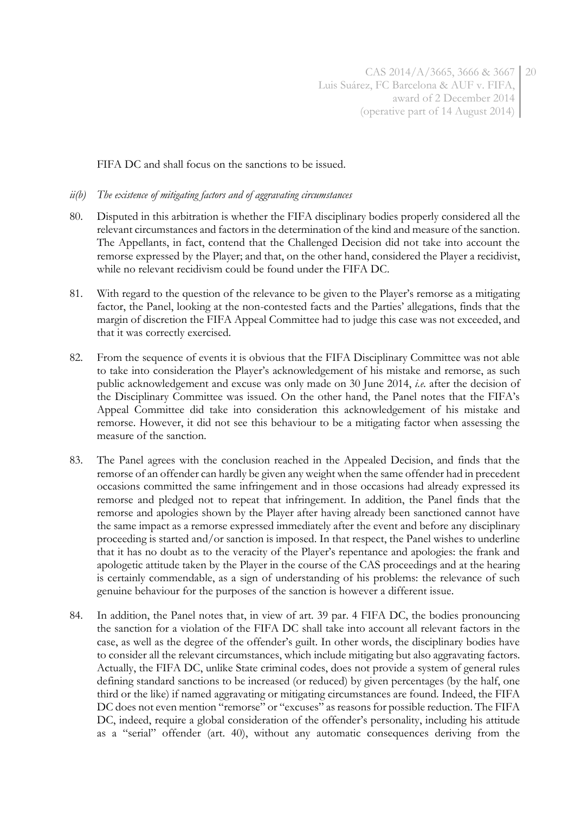FIFA DC and shall focus on the sanctions to be issued.

### *ii(b) The existence of mitigating factors and of aggravating circumstances*

- 80. Disputed in this arbitration is whether the FIFA disciplinary bodies properly considered all the relevant circumstances and factors in the determination of the kind and measure of the sanction. The Appellants, in fact, contend that the Challenged Decision did not take into account the remorse expressed by the Player; and that, on the other hand, considered the Player a recidivist, while no relevant recidivism could be found under the FIFA DC.
- 81. With regard to the question of the relevance to be given to the Player's remorse as a mitigating factor, the Panel, looking at the non-contested facts and the Parties' allegations, finds that the margin of discretion the FIFA Appeal Committee had to judge this case was not exceeded, and that it was correctly exercised.
- 82. From the sequence of events it is obvious that the FIFA Disciplinary Committee was not able to take into consideration the Player's acknowledgement of his mistake and remorse, as such public acknowledgement and excuse was only made on 30 June 2014, *i.e.* after the decision of the Disciplinary Committee was issued. On the other hand, the Panel notes that the FIFA's Appeal Committee did take into consideration this acknowledgement of his mistake and remorse. However, it did not see this behaviour to be a mitigating factor when assessing the measure of the sanction.
- 83. The Panel agrees with the conclusion reached in the Appealed Decision, and finds that the remorse of an offender can hardly be given any weight when the same offender had in precedent occasions committed the same infringement and in those occasions had already expressed its remorse and pledged not to repeat that infringement. In addition, the Panel finds that the remorse and apologies shown by the Player after having already been sanctioned cannot have the same impact as a remorse expressed immediately after the event and before any disciplinary proceeding is started and/or sanction is imposed. In that respect, the Panel wishes to underline that it has no doubt as to the veracity of the Player's repentance and apologies: the frank and apologetic attitude taken by the Player in the course of the CAS proceedings and at the hearing is certainly commendable, as a sign of understanding of his problems: the relevance of such genuine behaviour for the purposes of the sanction is however a different issue.
- 84. In addition, the Panel notes that, in view of art. 39 par. 4 FIFA DC, the bodies pronouncing the sanction for a violation of the FIFA DC shall take into account all relevant factors in the case, as well as the degree of the offender's guilt. In other words, the disciplinary bodies have to consider all the relevant circumstances, which include mitigating but also aggravating factors. Actually, the FIFA DC, unlike State criminal codes, does not provide a system of general rules defining standard sanctions to be increased (or reduced) by given percentages (by the half, one third or the like) if named aggravating or mitigating circumstances are found. Indeed, the FIFA DC does not even mention "remorse" or "excuses" as reasons for possible reduction. The FIFA DC, indeed, require a global consideration of the offender's personality, including his attitude as a "serial" offender (art. 40), without any automatic consequences deriving from the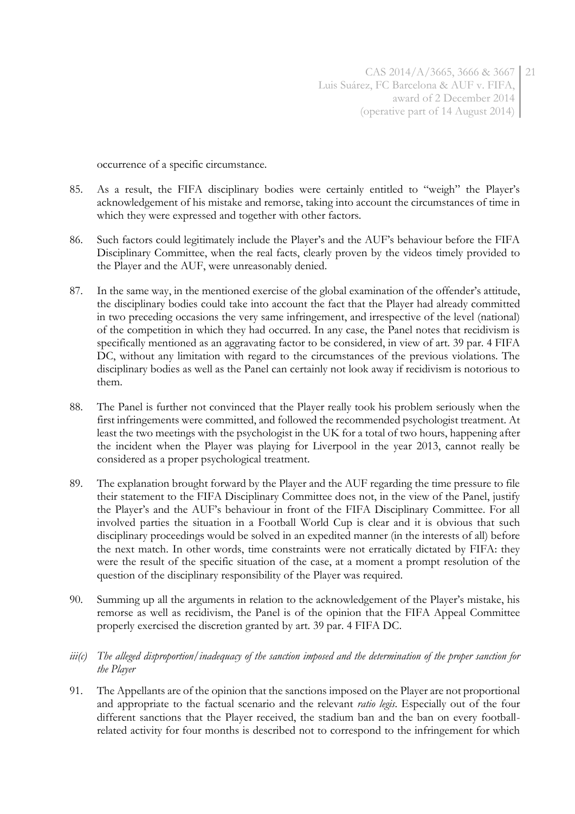occurrence of a specific circumstance.

- 85. As a result, the FIFA disciplinary bodies were certainly entitled to "weigh" the Player's acknowledgement of his mistake and remorse, taking into account the circumstances of time in which they were expressed and together with other factors.
- 86. Such factors could legitimately include the Player's and the AUF's behaviour before the FIFA Disciplinary Committee, when the real facts, clearly proven by the videos timely provided to the Player and the AUF, were unreasonably denied.
- 87. In the same way, in the mentioned exercise of the global examination of the offender's attitude, the disciplinary bodies could take into account the fact that the Player had already committed in two preceding occasions the very same infringement, and irrespective of the level (national) of the competition in which they had occurred. In any case, the Panel notes that recidivism is specifically mentioned as an aggravating factor to be considered, in view of art. 39 par. 4 FIFA DC, without any limitation with regard to the circumstances of the previous violations. The disciplinary bodies as well as the Panel can certainly not look away if recidivism is notorious to them.
- 88. The Panel is further not convinced that the Player really took his problem seriously when the first infringements were committed, and followed the recommended psychologist treatment. At least the two meetings with the psychologist in the UK for a total of two hours, happening after the incident when the Player was playing for Liverpool in the year 2013, cannot really be considered as a proper psychological treatment.
- 89. The explanation brought forward by the Player and the AUF regarding the time pressure to file their statement to the FIFA Disciplinary Committee does not, in the view of the Panel, justify the Player's and the AUF's behaviour in front of the FIFA Disciplinary Committee. For all involved parties the situation in a Football World Cup is clear and it is obvious that such disciplinary proceedings would be solved in an expedited manner (in the interests of all) before the next match. In other words, time constraints were not erratically dictated by FIFA: they were the result of the specific situation of the case, at a moment a prompt resolution of the question of the disciplinary responsibility of the Player was required.
- 90. Summing up all the arguments in relation to the acknowledgement of the Player's mistake, his remorse as well as recidivism, the Panel is of the opinion that the FIFA Appeal Committee properly exercised the discretion granted by art. 39 par. 4 FIFA DC.
- *iii(c) The alleged disproportion/inadequacy of the sanction imposed and the determination of the proper sanction for the Player*
- 91. The Appellants are of the opinion that the sanctions imposed on the Player are not proportional and appropriate to the factual scenario and the relevant *ratio legis*. Especially out of the four different sanctions that the Player received, the stadium ban and the ban on every footballrelated activity for four months is described not to correspond to the infringement for which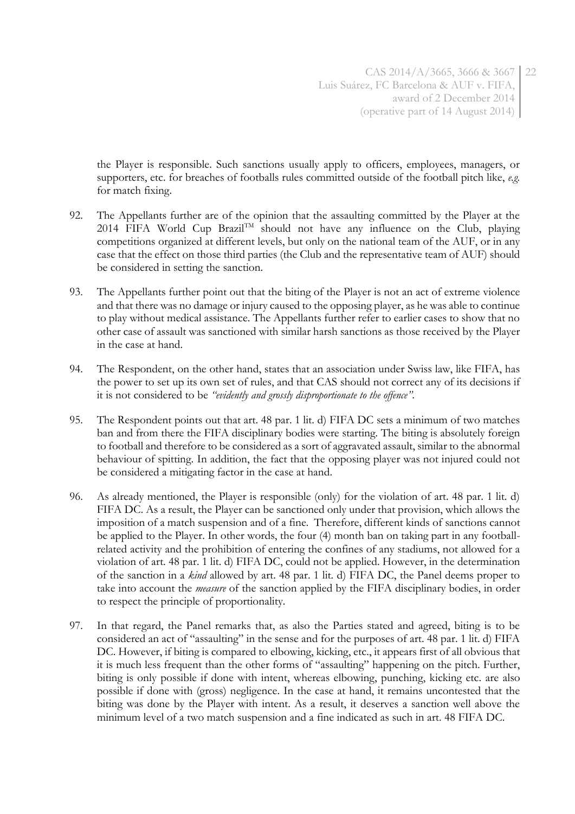the Player is responsible. Such sanctions usually apply to officers, employees, managers, or supporters, etc. for breaches of footballs rules committed outside of the football pitch like, *e.g.* for match fixing.

- 92. The Appellants further are of the opinion that the assaulting committed by the Player at the 2014 FIFA World Cup Brazil<sup>TM</sup> should not have any influence on the Club, playing competitions organized at different levels, but only on the national team of the AUF, or in any case that the effect on those third parties (the Club and the representative team of AUF) should be considered in setting the sanction.
- 93. The Appellants further point out that the biting of the Player is not an act of extreme violence and that there was no damage or injury caused to the opposing player, as he was able to continue to play without medical assistance. The Appellants further refer to earlier cases to show that no other case of assault was sanctioned with similar harsh sanctions as those received by the Player in the case at hand.
- 94. The Respondent, on the other hand, states that an association under Swiss law, like FIFA, has the power to set up its own set of rules, and that CAS should not correct any of its decisions if it is not considered to be *"evidently and grossly disproportionate to the offence".*
- 95. The Respondent points out that art. 48 par. 1 lit. d) FIFA DC sets a minimum of two matches ban and from there the FIFA disciplinary bodies were starting. The biting is absolutely foreign to football and therefore to be considered as a sort of aggravated assault, similar to the abnormal behaviour of spitting. In addition, the fact that the opposing player was not injured could not be considered a mitigating factor in the case at hand.
- 96. As already mentioned, the Player is responsible (only) for the violation of art. 48 par. 1 lit. d) FIFA DC. As a result, the Player can be sanctioned only under that provision, which allows the imposition of a match suspension and of a fine. Therefore, different kinds of sanctions cannot be applied to the Player. In other words, the four (4) month ban on taking part in any footballrelated activity and the prohibition of entering the confines of any stadiums, not allowed for a violation of art. 48 par. 1 lit. d) FIFA DC, could not be applied. However, in the determination of the sanction in a *kind* allowed by art. 48 par. 1 lit. d) FIFA DC, the Panel deems proper to take into account the *measure* of the sanction applied by the FIFA disciplinary bodies, in order to respect the principle of proportionality.
- 97. In that regard, the Panel remarks that, as also the Parties stated and agreed, biting is to be considered an act of "assaulting" in the sense and for the purposes of art. 48 par. 1 lit. d) FIFA DC. However, if biting is compared to elbowing, kicking, etc., it appears first of all obvious that it is much less frequent than the other forms of "assaulting" happening on the pitch. Further, biting is only possible if done with intent, whereas elbowing, punching, kicking etc. are also possible if done with (gross) negligence. In the case at hand, it remains uncontested that the biting was done by the Player with intent. As a result, it deserves a sanction well above the minimum level of a two match suspension and a fine indicated as such in art. 48 FIFA DC.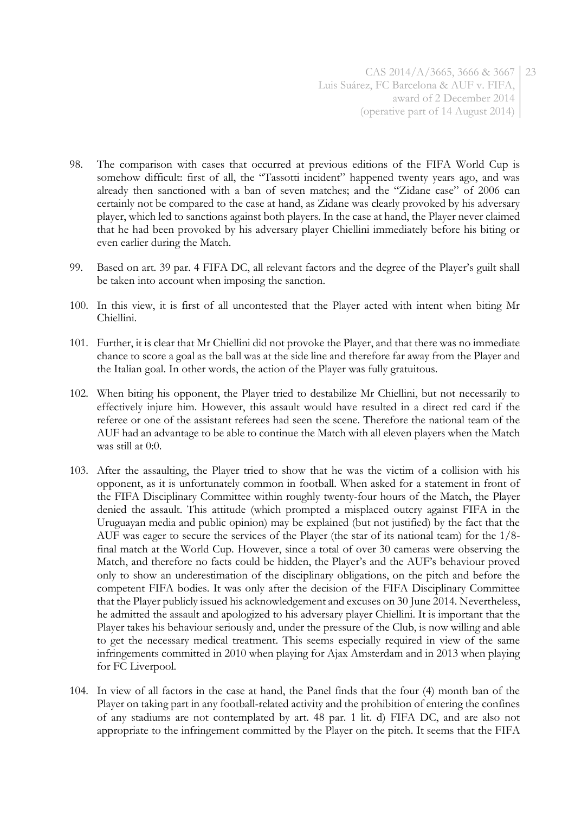- 98. The comparison with cases that occurred at previous editions of the FIFA World Cup is somehow difficult: first of all, the "Tassotti incident" happened twenty years ago, and was already then sanctioned with a ban of seven matches; and the "Zidane case" of 2006 can certainly not be compared to the case at hand, as Zidane was clearly provoked by his adversary player, which led to sanctions against both players. In the case at hand, the Player never claimed that he had been provoked by his adversary player Chiellini immediately before his biting or even earlier during the Match.
- 99. Based on art. 39 par. 4 FIFA DC, all relevant factors and the degree of the Player's guilt shall be taken into account when imposing the sanction.
- 100. In this view, it is first of all uncontested that the Player acted with intent when biting Mr Chiellini.
- 101. Further, it is clear that Mr Chiellini did not provoke the Player, and that there was no immediate chance to score a goal as the ball was at the side line and therefore far away from the Player and the Italian goal. In other words, the action of the Player was fully gratuitous.
- 102. When biting his opponent, the Player tried to destabilize Mr Chiellini, but not necessarily to effectively injure him. However, this assault would have resulted in a direct red card if the referee or one of the assistant referees had seen the scene. Therefore the national team of the AUF had an advantage to be able to continue the Match with all eleven players when the Match was still at 0:0.
- 103. After the assaulting, the Player tried to show that he was the victim of a collision with his opponent, as it is unfortunately common in football. When asked for a statement in front of the FIFA Disciplinary Committee within roughly twenty-four hours of the Match, the Player denied the assault. This attitude (which prompted a misplaced outcry against FIFA in the Uruguayan media and public opinion) may be explained (but not justified) by the fact that the AUF was eager to secure the services of the Player (the star of its national team) for the 1/8 final match at the World Cup. However, since a total of over 30 cameras were observing the Match, and therefore no facts could be hidden, the Player's and the AUF's behaviour proved only to show an underestimation of the disciplinary obligations, on the pitch and before the competent FIFA bodies. It was only after the decision of the FIFA Disciplinary Committee that the Player publicly issued his acknowledgement and excuses on 30 June 2014. Nevertheless, he admitted the assault and apologized to his adversary player Chiellini. It is important that the Player takes his behaviour seriously and, under the pressure of the Club, is now willing and able to get the necessary medical treatment. This seems especially required in view of the same infringements committed in 2010 when playing for Ajax Amsterdam and in 2013 when playing for FC Liverpool.
- 104. In view of all factors in the case at hand, the Panel finds that the four (4) month ban of the Player on taking part in any football-related activity and the prohibition of entering the confines of any stadiums are not contemplated by art. 48 par. 1 lit. d) FIFA DC, and are also not appropriate to the infringement committed by the Player on the pitch. It seems that the FIFA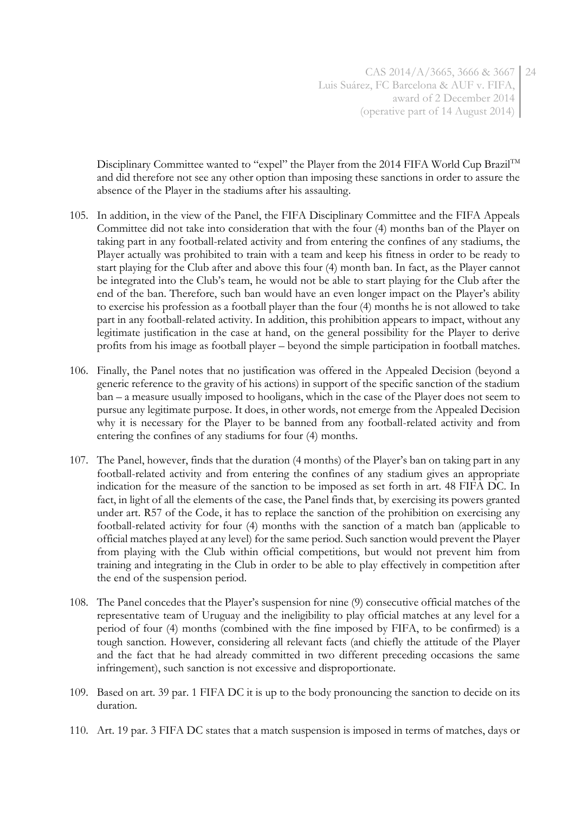Disciplinary Committee wanted to "expel" the Player from the 2014 FIFA World Cup Brazil<sup>TM</sup> and did therefore not see any other option than imposing these sanctions in order to assure the absence of the Player in the stadiums after his assaulting.

- 105. In addition, in the view of the Panel, the FIFA Disciplinary Committee and the FIFA Appeals Committee did not take into consideration that with the four (4) months ban of the Player on taking part in any football-related activity and from entering the confines of any stadiums, the Player actually was prohibited to train with a team and keep his fitness in order to be ready to start playing for the Club after and above this four (4) month ban. In fact, as the Player cannot be integrated into the Club's team, he would not be able to start playing for the Club after the end of the ban. Therefore, such ban would have an even longer impact on the Player's ability to exercise his profession as a football player than the four (4) months he is not allowed to take part in any football-related activity. In addition, this prohibition appears to impact, without any legitimate justification in the case at hand, on the general possibility for the Player to derive profits from his image as football player – beyond the simple participation in football matches.
- 106. Finally, the Panel notes that no justification was offered in the Appealed Decision (beyond a generic reference to the gravity of his actions) in support of the specific sanction of the stadium ban – a measure usually imposed to hooligans, which in the case of the Player does not seem to pursue any legitimate purpose. It does, in other words, not emerge from the Appealed Decision why it is necessary for the Player to be banned from any football-related activity and from entering the confines of any stadiums for four (4) months.
- 107. The Panel, however, finds that the duration (4 months) of the Player's ban on taking part in any football-related activity and from entering the confines of any stadium gives an appropriate indication for the measure of the sanction to be imposed as set forth in art. 48 FIFA DC. In fact, in light of all the elements of the case, the Panel finds that, by exercising its powers granted under art. R57 of the Code, it has to replace the sanction of the prohibition on exercising any football-related activity for four (4) months with the sanction of a match ban (applicable to official matches played at any level) for the same period. Such sanction would prevent the Player from playing with the Club within official competitions, but would not prevent him from training and integrating in the Club in order to be able to play effectively in competition after the end of the suspension period.
- 108. The Panel concedes that the Player's suspension for nine (9) consecutive official matches of the representative team of Uruguay and the ineligibility to play official matches at any level for a period of four (4) months (combined with the fine imposed by FIFA, to be confirmed) is a tough sanction. However, considering all relevant facts (and chiefly the attitude of the Player and the fact that he had already committed in two different preceding occasions the same infringement), such sanction is not excessive and disproportionate.
- 109. Based on art. 39 par. 1 FIFA DC it is up to the body pronouncing the sanction to decide on its duration.
- 110. Art. 19 par. 3 FIFA DC states that a match suspension is imposed in terms of matches, days or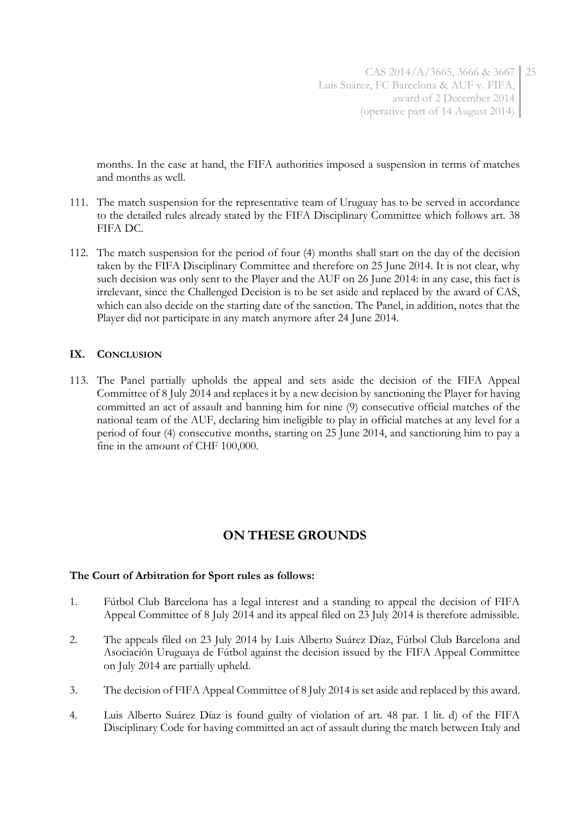months. In the case at hand, the FIFA authorities imposed a suspension in terms of matches and months as well.

- 111. The match suspension for the representative team of Uruguay has to be served in accordance to the detailed rules already stated by the FIFA Disciplinary Committee which follows art. 38 FIFA DC.
- 112. The match suspension for the period of four (4) months shall start on the day of the decision taken by the FIFA Disciplinary Committee and therefore on 25 June 2014. It is not clear, why such decision was only sent to the Player and the AUF on 26 June 2014: in any case, this fact is irrelevant, since the Challenged Decision is to be set aside and replaced by the award of CAS, which can also decide on the starting date of the sanction. The Panel, in addition, notes that the Player did not participate in any match anymore after 24 June 2014.

## **IX. CONCLUSION**

113. The Panel partially upholds the appeal and sets aside the decision of the FIFA Appeal Committee of 8 July 2014 and replaces it by a new decision by sanctioning the Player for having committed an act of assault and banning him for nine (9) consecutive official matches of the national team of the AUF, declaring him ineligible to play in official matches at any level for a period of four (4) consecutive months, starting on 25 June 2014, and sanctioning him to pay a fine in the amount of CHF 100,000.

# **ON THESE GROUNDS**

### **The Court of Arbitration for Sport rules as follows:**

- 1. Fútbol Club Barcelona has a legal interest and a standing to appeal the decision of FIFA Appeal Committee of 8 July 2014 and its appeal filed on 23 July 2014 is therefore admissible.
- 2. The appeals filed on 23 July 2014 by Luis Alberto Suárez Díaz, Fútbol Club Barcelona and Asociación Uruguaya de Fútbol against the decision issued by the FIFA Appeal Committee on July 2014 are partially upheld.
- 3. The decision of FIFA Appeal Committee of 8 July 2014 is set aside and replaced by this award.
- 4. Luis Alberto Suárez Díaz is found guilty of violation of art. 48 par. 1 lit. d) of the FIFA Disciplinary Code for having committed an act of assault during the match between Italy and